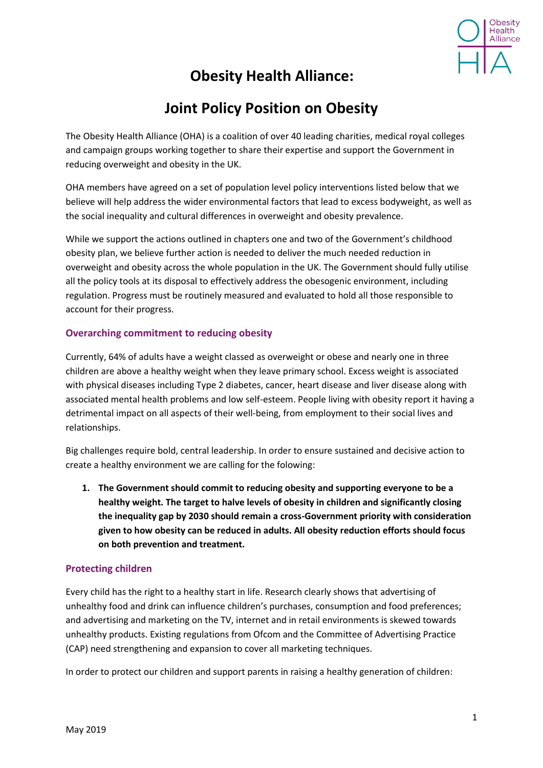

# **Obesity Health Alliance:**

# **Joint Policy Position on Obesity**

The Obesity Health Alliance (OHA) is a coalition of over 40 leading charities, medical royal colleges and campaign groups working together to share their expertise and support the Government in reducing overweight and obesity in the UK.

OHA members have agreed on a set of population level policy interventions listed below that we believe will help address the wider environmental factors that lead to excess bodyweight, as well as the social inequality and cultural differences in overweight and obesity prevalence.

While we support the actions outlined in chapters one and two of the Government's childhood obesity plan, we believe further action is needed to deliver the much needed reduction in overweight and obesity across the whole population in the UK. The Government should fully utilise all the policy tools at its disposal to effectively address the obesogenic environment, including regulation. Progress must be routinely measured and evaluated to hold all those responsible to account for their progress.

### **Overarching commitment to reducing obesity**

Currently, 64% of adults have a weight classed as overweight or obese and nearly one in three children are above a healthy weight when they leave primary school. Excess weight is associated with physical diseases including Type 2 diabetes, cancer, heart disease and liver disease along with associated mental health problems and low self-esteem. People living with obesity report it having a detrimental impact on all aspects of their well-being, from employment to their social lives and relationships.

Big challenges require bold, central leadership. In order to ensure sustained and decisive action to create a healthy environment we are calling for the folowing:

**1. The Government should commit to reducing obesity and supporting everyone to be a healthy weight. The target to halve levels of obesity in children and significantly closing the inequality gap by 2030 should remain a cross-Government priority with consideration given to how obesity can be reduced in adults. All obesity reduction efforts should focus on both prevention and treatment.**

#### **Protecting children**

Every child has the right to a healthy start in life. Research clearly shows that advertising of unhealthy food and drink can influence children's purchases, consumption and food preferences; and advertising and marketing on the TV, internet and in retail environments is skewed towards unhealthy products. Existing regulations from Ofcom and the Committee of Advertising Practice (CAP) need strengthening and expansion to cover all marketing techniques.

In order to protect our children and support parents in raising a healthy generation of children: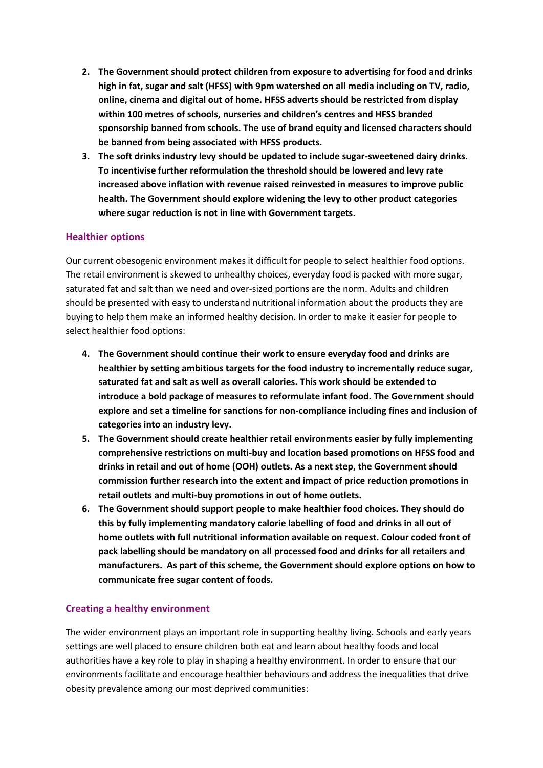- **2. The Government should protect children from exposure to advertising for food and drinks high in fat, sugar and salt (HFSS) with 9pm watershed on all media including on TV, radio, online, cinema and digital out of home. HFSS adverts should be restricted from display within 100 metres of schools, nurseries and children's centres and HFSS branded sponsorship banned from schools. The use of brand equity and licensed characters should be banned from being associated with HFSS products.**
- **3. The soft drinks industry levy should be updated to include sugar-sweetened dairy drinks. To incentivise further reformulation the threshold should be lowered and levy rate increased above inflation with revenue raised reinvested in measures to improve public health. The Government should explore widening the levy to other product categories where sugar reduction is not in line with Government targets.**

#### **Healthier options**

Our current obesogenic environment makes it difficult for people to select healthier food options. The retail environment is skewed to unhealthy choices, everyday food is packed with more sugar, saturated fat and salt than we need and over-sized portions are the norm. Adults and children should be presented with easy to understand nutritional information about the products they are buying to help them make an informed healthy decision. In order to make it easier for people to select healthier food options:

- **4. The Government should continue their work to ensure everyday food and drinks are healthier by setting ambitious targets for the food industry to incrementally reduce sugar, saturated fat and salt as well as overall calories. This work should be extended to introduce a bold package of measures to reformulate infant food. The Government should explore and set a timeline for sanctions for non-compliance including fines and inclusion of categories into an industry levy.**
- **5. The Government should create healthier retail environments easier by fully implementing comprehensive restrictions on multi-buy and location based promotions on HFSS food and drinks in retail and out of home (OOH) outlets. As a next step, the Government should commission further research into the extent and impact of price reduction promotions in retail outlets and multi-buy promotions in out of home outlets.**
- **6. The Government should support people to make healthier food choices. They should do this by fully implementing mandatory calorie labelling of food and drinks in all out of home outlets with full nutritional information available on request. Colour coded front of pack labelling should be mandatory on all processed food and drinks for all retailers and manufacturers. As part of this scheme, the Government should explore options on how to communicate free sugar content of foods.**

## **Creating a healthy environment**

The wider environment plays an important role in supporting healthy living. Schools and early years settings are well placed to ensure children both eat and learn about healthy foods and local authorities have a key role to play in shaping a healthy environment. In order to ensure that our environments facilitate and encourage healthier behaviours and address the inequalities that drive obesity prevalence among our most deprived communities: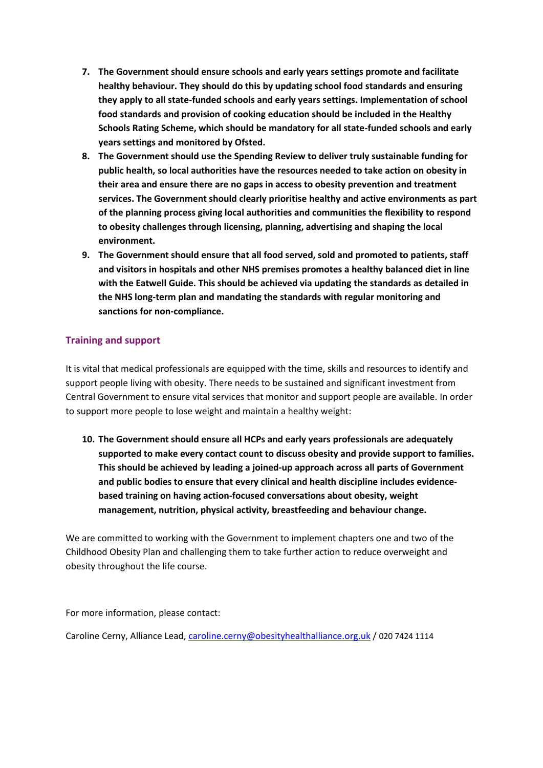- **7. The Government should ensure schools and early years settings promote and facilitate healthy behaviour. They should do this by updating school food standards and ensuring they apply to all state-funded schools and early years settings. Implementation of school food standards and provision of cooking education should be included in the Healthy Schools Rating Scheme, which should be mandatory for all state-funded schools and early years settings and monitored by Ofsted.**
- **8. The Government should use the Spending Review to deliver truly sustainable funding for public health, so local authorities have the resources needed to take action on obesity in their area and ensure there are no gaps in access to obesity prevention and treatment services. The Government should clearly prioritise healthy and active environments as part of the planning process giving local authorities and communities the flexibility to respond to obesity challenges through licensing, planning, advertising and shaping the local environment.**
- **9. The Government should ensure that all food served, sold and promoted to patients, staff and visitors in hospitals and other NHS premises promotes a healthy balanced diet in line with the Eatwell Guide. This should be achieved via updating the standards as detailed in the NHS long-term plan and mandating the standards with regular monitoring and sanctions for non-compliance.**

### **Training and support**

It is vital that medical professionals are equipped with the time, skills and resources to identify and support people living with obesity. There needs to be sustained and significant investment from Central Government to ensure vital services that monitor and support people are available. In order to support more people to lose weight and maintain a healthy weight:

**10. The Government should ensure all HCPs and early years professionals are adequately supported to make every contact count to discuss obesity and provide support to families. This should be achieved by leading a joined-up approach across all parts of Government and public bodies to ensure that every clinical and health discipline includes evidencebased training on having action-focused conversations about obesity, weight management, nutrition, physical activity, breastfeeding and behaviour change.**

We are committed to working with the Government to implement chapters one and two of the Childhood Obesity Plan and challenging them to take further action to reduce overweight and obesity throughout the life course.

For more information, please contact:

Caroline Cerny, Alliance Lead[, caroline.cerny@obesityhealthalliance.org.uk](mailto:caroline.cerny@obesityhealthalliance.org.uk) / 020 7424 1114